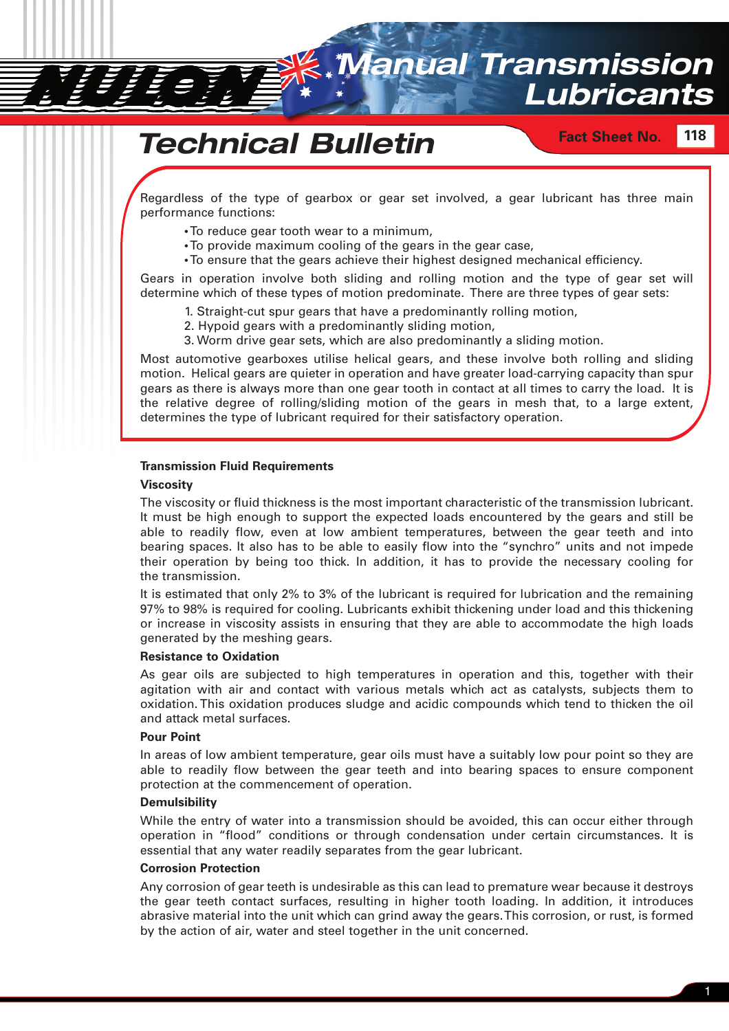

# *Technical Bulletin*

# **Fact Sheet No. 118**

Regardless of the type of gearbox or gear set involved, a gear lubricant has three main performance functions:

- **•**To reduce gear tooth wear to a minimum,
- **•**To provide maximum cooling of the gears in the gear case,
- **•**To ensure that the gears achieve their highest designed mechanical efficiency.

Gears in operation involve both sliding and rolling motion and the type of gear set will determine which of these types of motion predominate. There are three types of gear sets:

- 1. Straight-cut spur gears that have a predominantly rolling motion,
- 2. Hypoid gears with a predominantly sliding motion,
- 3. Worm drive gear sets, which are also predominantly a sliding motion.

Most automotive gearboxes utilise helical gears, and these involve both rolling and sliding motion. Helical gears are quieter in operation and have greater load-carrying capacity than spur gears as there is always more than one gear tooth in contact at all times to carry the load. It is the relative degree of rolling/sliding motion of the gears in mesh that, to a large extent, determines the type of lubricant required for their satisfactory operation.

#### **Transmission Fluid Requirements**

#### **Viscosity**

The viscosity or fluid thickness is the most important characteristic of the transmission lubricant. It must be high enough to support the expected loads encountered by the gears and still be able to readily flow, even at low ambient temperatures, between the gear teeth and into bearing spaces. It also has to be able to easily flow into the "synchro" units and not impede their operation by being too thick. In addition, it has to provide the necessary cooling for the transmission.

It is estimated that only 2% to 3% of the lubricant is required for lubrication and the remaining 97% to 98% is required for cooling. Lubricants exhibit thickening under load and this thickening or increase in viscosity assists in ensuring that they are able to accommodate the high loads generated by the meshing gears.

#### **Resistance to Oxidation**

As gear oils are subjected to high temperatures in operation and this, together with their agitation with air and contact with various metals which act as catalysts, subjects them to oxidation. This oxidation produces sludge and acidic compounds which tend to thicken the oil and attack metal surfaces.

#### **Pour Point**

In areas of low ambient temperature, gear oils must have a suitably low pour point so they are able to readily flow between the gear teeth and into bearing spaces to ensure component protection at the commencement of operation.

#### **Demulsibility**

While the entry of water into a transmission should be avoided, this can occur either through operation in "flood" conditions or through condensation under certain circumstances. It is essential that any water readily separates from the gear lubricant.

#### **Corrosion Protection**

Any corrosion of gear teeth is undesirable as this can lead to premature wear because it destroys the gear teeth contact surfaces, resulting in higher tooth loading. In addition, it introduces abrasive material into the unit which can grind away the gears. This corrosion, or rust, is formed by the action of air, water and steel together in the unit concerned.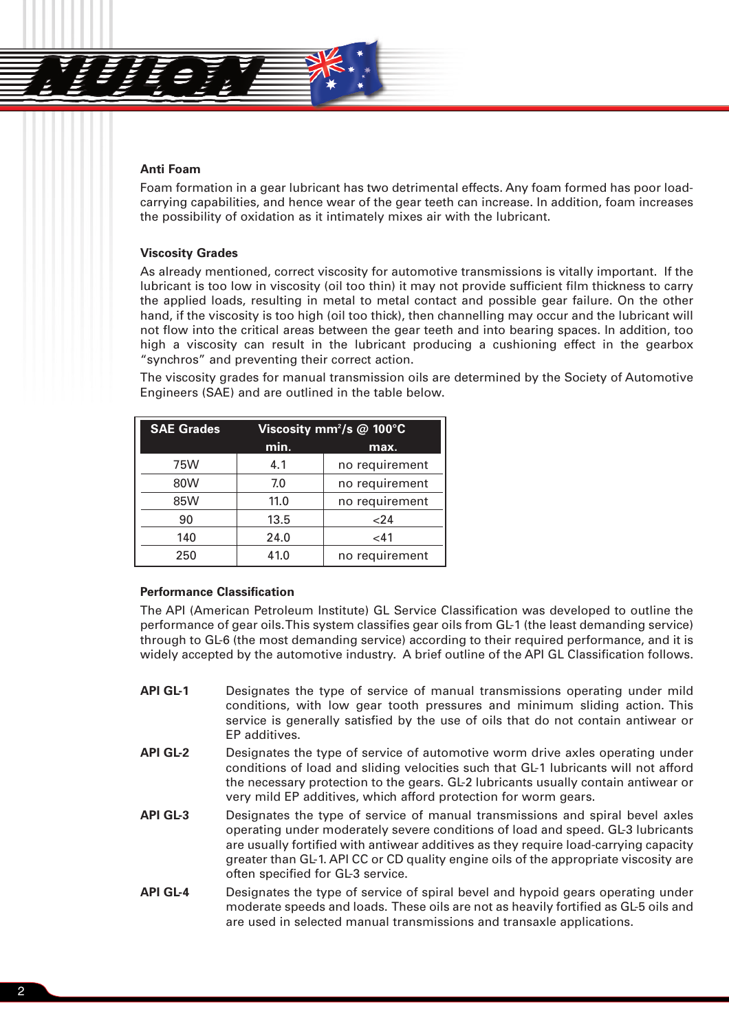

# **Anti Foam**

Foam formation in a gear lubricant has two detrimental effects. Any foam formed has poor loadcarrying capabilities, and hence wear of the gear teeth can increase. In addition, foam increases the possibility of oxidation as it intimately mixes air with the lubricant.

#### **Viscosity Grades**

As already mentioned, correct viscosity for automotive transmissions is vitally important. If the lubricant is too low in viscosity (oil too thin) it may not provide sufficient film thickness to carry the applied loads, resulting in metal to metal contact and possible gear failure. On the other hand, if the viscosity is too high (oil too thick), then channelling may occur and the lubricant will not flow into the critical areas between the gear teeth and into bearing spaces. In addition, too high a viscosity can result in the lubricant producing a cushioning effect in the gearbox "synchros" and preventing their correct action.

The viscosity grades for manual transmission oils are determined by the Society of Automotive Engineers (SAE) and are outlined in the table below.

| <b>SAE Grades</b> | Viscosity mm <sup>2</sup> /s @ 100°C |                |
|-------------------|--------------------------------------|----------------|
|                   | min.                                 | max.           |
| 75W               | 4.1                                  | no requirement |
| 80W               | 7.0                                  | no requirement |
| 85W               | 11.0                                 | no requirement |
| 90                | 13.5                                 | 24             |
| 140               | 24.0                                 | < 41           |
| 250               | 41.0                                 | no requirement |

# **Performance Classification**

The API (American Petroleum Institute) GL Service Classification was developed to outline the performance of gear oils. This system classifies gear oils from GL-1 (the least demanding service) through to GL-6 (the most demanding service) according to their required performance, and it is widely accepted by the automotive industry. A brief outline of the API GL Classification follows.

- **API GL-1** Designates the type of service of manual transmissions operating under mild conditions, with low gear tooth pressures and minimum sliding action. This service is generally satisfied by the use of oils that do not contain antiwear or EP additives.
- **API GL-2** Designates the type of service of automotive worm drive axles operating under conditions of load and sliding velocities such that GL-1 lubricants will not afford the necessary protection to the gears. GL-2 lubricants usually contain antiwear or very mild EP additives, which afford protection for worm gears.
- **API GL-3** Designates the type of service of manual transmissions and spiral bevel axles operating under moderately severe conditions of load and speed. GL-3 lubricants are usually fortified with antiwear additives as they require load-carrying capacity greater than GL-1. API CC or CD quality engine oils of the appropriate viscosity are often specified for GL-3 service.
- **API GL-4** Designates the type of service of spiral bevel and hypoid gears operating under moderate speeds and loads. These oils are not as heavily fortified as GL-5 oils and are used in selected manual transmissions and transaxle applications.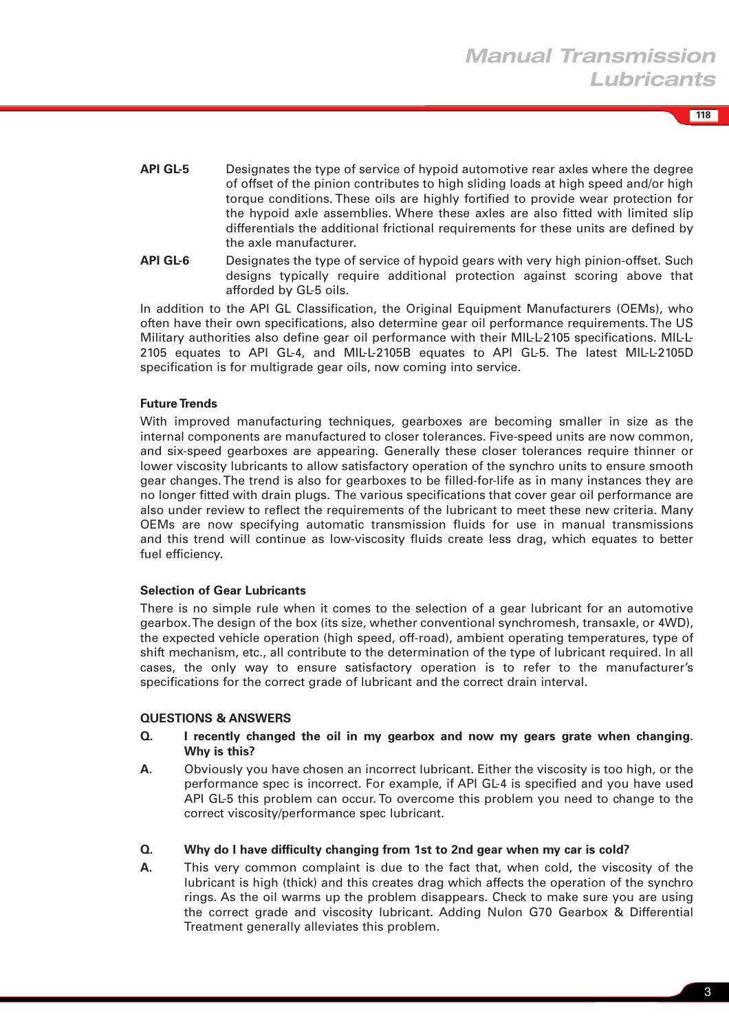**118**

- **API GL-5** Designates the type of service of hypoid automotive rear axles where the degree of offset of the pinion contributes to high sliding loads at high speed and/or high torque conditions. These oils are highly fortified to provide wear protection for the hypoid axle assemblies. Where these axles are also fitted with limited slip differentials the additional frictional requirements for these units are defined by the axle manufacturer.
- **API GL-6** Designates the type of service of hypoid gears with very high pinion-offset. Such designs typically require additional protection against scoring above that afforded by GL-5 oils.

In addition to the API GL Classification, the Original Equipment Manufacturers (OEMs), who often have their own specifications, also determine gear oil performance requirements. The US Military authorities also define gear oil performance with their MIL-L-2105 specifications. MIL-L-2105 equates to API GL-4, and MIL-L-2105B equates to API GL-5. The latest MIL-L-2105D specification is for multigrade gear oils, now coming into service.

# **Future Trends**

With improved manufacturing techniques, gearboxes are becoming smaller in size as the internal components are manufactured to closer tolerances. Five-speed units are now common, and six-speed gearboxes are appearing. Generally these closer tolerances require thinner or lower viscosity lubricants to allow satisfactory operation of the synchro units to ensure smooth gear changes. The trend is also for gearboxes to be filled-for-life as in many instances they are no longer fitted with drain plugs. The various specifications that cover gear oil performance are also under review to reflect the requirements of the lubricant to meet these new criteria. Many OEMs are now specifying automatic transmission fluids for use in manual transmissions and this trend will continue as low-viscosity fluids create less drag, which equates to better fuel efficiency.

# **Selection of Gear Lubricants**

There is no simple rule when it comes to the selection of a gear lubricant for an automotive gearbox. The design of the box (its size, whether conventional synchromesh, transaxle, or 4WD), the expected vehicle operation (high speed, off-road), ambient operating temperatures, type of shift mechanism, etc., all contribute to the determination of the type of lubricant required. In all cases, the only way to ensure satisfactory operation is to refer to the manufacturer's specifications for the correct grade of lubricant and the correct drain interval.

# **QUESTIONS & ANSWERS**

- **Q. I recently changed the oil in my gearbox and now my gears grate when changing. Why is this?**
- **A.** Obviously you have chosen an incorrect lubricant. Either the viscosity is too high, or the performance spec is incorrect. For example, if API GL-4 is specified and you have used API GL-5 this problem can occur. To overcome this problem you need to change to the correct viscosity/performance spec lubricant.

# **Q. Why do I have difficulty changing from 1st to 2nd gear when my car is cold?**

**A.** This very common complaint is due to the fact that, when cold, the viscosity of the lubricant is high (thick) and this creates drag which affects the operation of the synchro rings. As the oil warms up the problem disappears. Check to make sure you are using the correct grade and viscosity lubricant. Adding Nulon G70 Gearbox & Differential Treatment generally alleviates this problem.